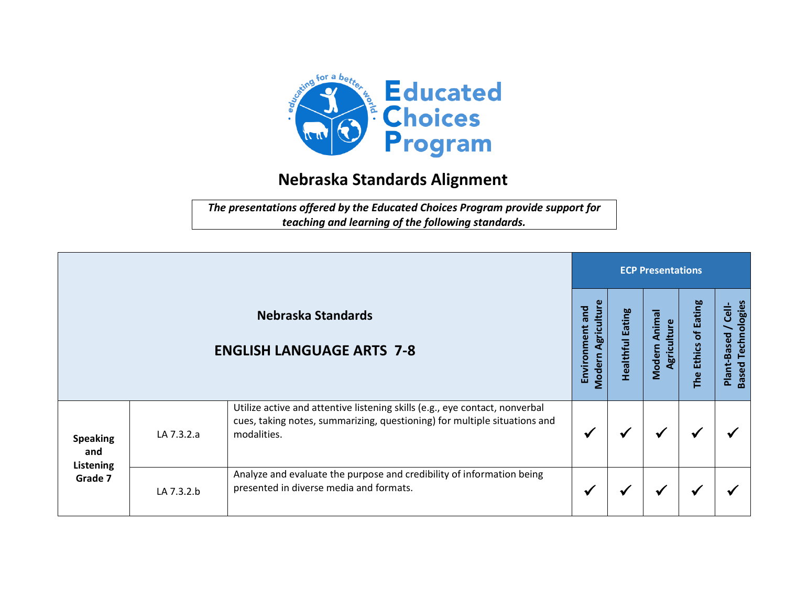

## **Nebraska Standards Alignment**

*The presentations offered by the Educated Choices Program provide support for teaching and learning of the following standards.*

|                                                |            |                                                                                                                                                                         | <b>ECP Presentations</b>              |                            |                                 |                                   |                                                   |  |  |
|------------------------------------------------|------------|-------------------------------------------------------------------------------------------------------------------------------------------------------------------------|---------------------------------------|----------------------------|---------------------------------|-----------------------------------|---------------------------------------------------|--|--|
|                                                |            | Nebraska Standards<br><b>ENGLISH LANGUAGE ARTS 7-8</b>                                                                                                                  | Modern Agriculture<br>Environment and | Eating<br><b>Healthful</b> | Animal<br>Agriculture<br>Modern | of Eating<br><b>Ethics</b><br>The | <b>Based Technologies</b><br>Cell-<br>Plant-Based |  |  |
| <b>Speaking</b><br>and<br>Listening<br>Grade 7 | LA 7.3.2.a | Utilize active and attentive listening skills (e.g., eye contact, nonverbal<br>cues, taking notes, summarizing, questioning) for multiple situations and<br>modalities. | ✔                                     |                            | ✔                               |                                   |                                                   |  |  |
|                                                | LA 7.3.2.b | Analyze and evaluate the purpose and credibility of information being<br>presented in diverse media and formats.                                                        |                                       | ₩                          | ✔                               | ✔                                 |                                                   |  |  |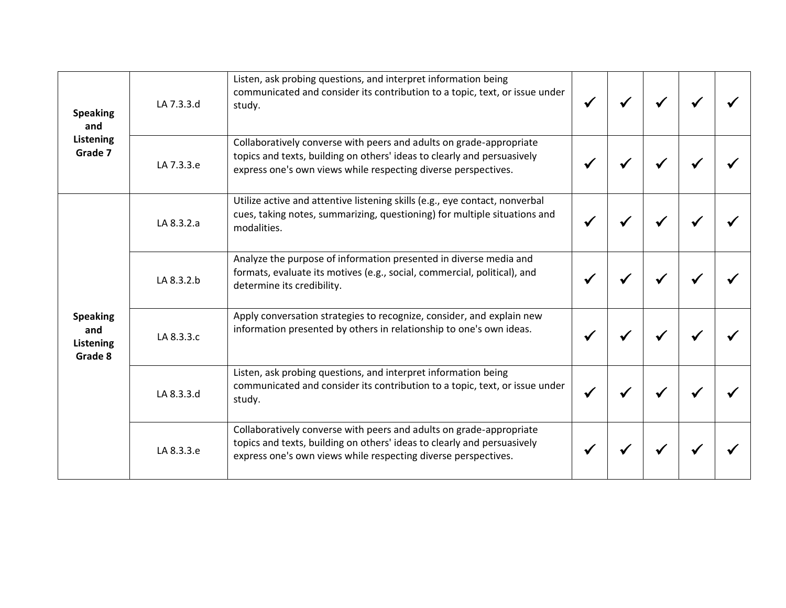| <b>Speaking</b><br>and<br>Listening<br>Grade 7 | LA 7.3.3.d | Listen, ask probing questions, and interpret information being<br>communicated and consider its contribution to a topic, text, or issue under<br>study.                                                          |  |  |  |
|------------------------------------------------|------------|------------------------------------------------------------------------------------------------------------------------------------------------------------------------------------------------------------------|--|--|--|
|                                                | LA 7.3.3.e | Collaboratively converse with peers and adults on grade-appropriate<br>topics and texts, building on others' ideas to clearly and persuasively<br>express one's own views while respecting diverse perspectives. |  |  |  |
| <b>Speaking</b><br>and<br>Listening<br>Grade 8 | LA 8.3.2.a | Utilize active and attentive listening skills (e.g., eye contact, nonverbal<br>cues, taking notes, summarizing, questioning) for multiple situations and<br>modalities.                                          |  |  |  |
|                                                | LA 8.3.2.b | Analyze the purpose of information presented in diverse media and<br>formats, evaluate its motives (e.g., social, commercial, political), and<br>determine its credibility.                                      |  |  |  |
|                                                | LA 8.3.3.c | Apply conversation strategies to recognize, consider, and explain new<br>information presented by others in relationship to one's own ideas.                                                                     |  |  |  |
|                                                | LA 8.3.3.d | Listen, ask probing questions, and interpret information being<br>communicated and consider its contribution to a topic, text, or issue under<br>study.                                                          |  |  |  |
|                                                | LA 8.3.3.e | Collaboratively converse with peers and adults on grade-appropriate<br>topics and texts, building on others' ideas to clearly and persuasively<br>express one's own views while respecting diverse perspectives. |  |  |  |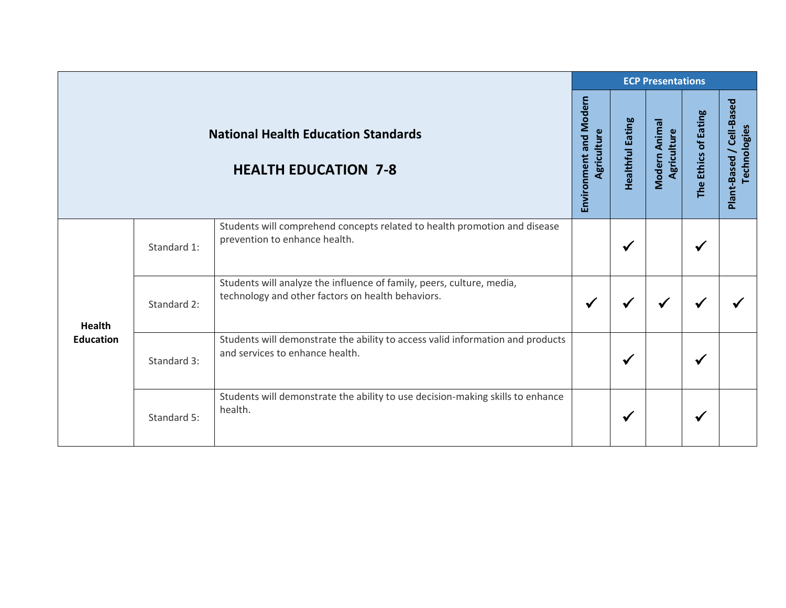|                                                                           |             |                                                                                                                            | <b>ECP Presentations</b> |                              |                      |                                          |  |  |
|---------------------------------------------------------------------------|-------------|----------------------------------------------------------------------------------------------------------------------------|--------------------------|------------------------------|----------------------|------------------------------------------|--|--|
| <b>National Health Education Standards</b><br><b>HEALTH EDUCATION 7-8</b> |             | <b>Environment and Modern</b><br>Agriculture                                                                               | <b>Healthful Eating</b>  | Modern Animal<br>Agriculture | The Ethics of Eating | Plant-Based / Cell-Based<br>Technologies |  |  |
| <b>Health</b><br><b>Education</b>                                         | Standard 1: | Students will comprehend concepts related to health promotion and disease<br>prevention to enhance health.                 |                          | $\checkmark$                 |                      | ✔                                        |  |  |
|                                                                           | Standard 2: | Students will analyze the influence of family, peers, culture, media,<br>technology and other factors on health behaviors. | $\checkmark$             | √                            |                      |                                          |  |  |
|                                                                           | Standard 3: | Students will demonstrate the ability to access valid information and products<br>and services to enhance health.          |                          | $\checkmark$                 |                      | ✔                                        |  |  |
|                                                                           | Standard 5: | Students will demonstrate the ability to use decision-making skills to enhance<br>health.                                  |                          | $\checkmark$                 |                      | ✔                                        |  |  |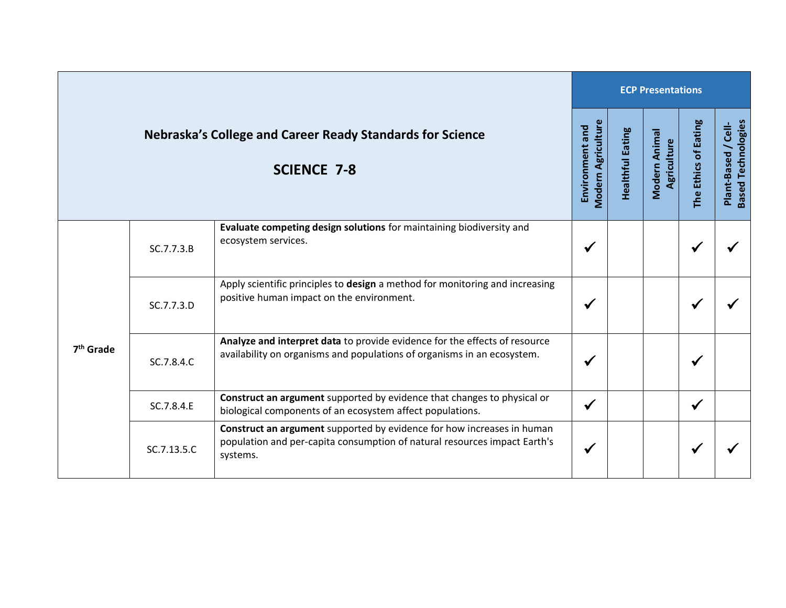|                                                                                 |             |                                                                                                                                                                 | <b>ECP Presentations</b>                     |                         |                              |                      |                                                  |  |
|---------------------------------------------------------------------------------|-------------|-----------------------------------------------------------------------------------------------------------------------------------------------------------------|----------------------------------------------|-------------------------|------------------------------|----------------------|--------------------------------------------------|--|
| Nebraska's College and Career Ready Standards for Science<br><b>SCIENCE 7-8</b> |             |                                                                                                                                                                 | <b>Modern Agriculture</b><br>Environment and | <b>Healthful Eating</b> | Modern Animal<br>Agriculture | The Ethics of Eating | <b>Based Technologies</b><br>Plant-Based / Cell- |  |
| 7 <sup>th</sup> Grade                                                           | SC.7.7.3.B  | Evaluate competing design solutions for maintaining biodiversity and<br>ecosystem services.                                                                     | $\checkmark$                                 |                         |                              | $\checkmark$         |                                                  |  |
|                                                                                 | SC.7.7.3.D  | Apply scientific principles to design a method for monitoring and increasing<br>positive human impact on the environment.                                       | $\checkmark$                                 |                         |                              | $\checkmark$         |                                                  |  |
|                                                                                 | SC.7.8.4.C  | Analyze and interpret data to provide evidence for the effects of resource<br>availability on organisms and populations of organisms in an ecosystem.           | ✔                                            |                         |                              | ✔                    |                                                  |  |
|                                                                                 | SC.7.8.4.E  | Construct an argument supported by evidence that changes to physical or<br>biological components of an ecosystem affect populations.                            | $\checkmark$                                 |                         |                              | $\checkmark$         |                                                  |  |
|                                                                                 | SC.7.13.5.C | Construct an argument supported by evidence for how increases in human<br>population and per-capita consumption of natural resources impact Earth's<br>systems. | ✔                                            |                         |                              | ✔                    |                                                  |  |